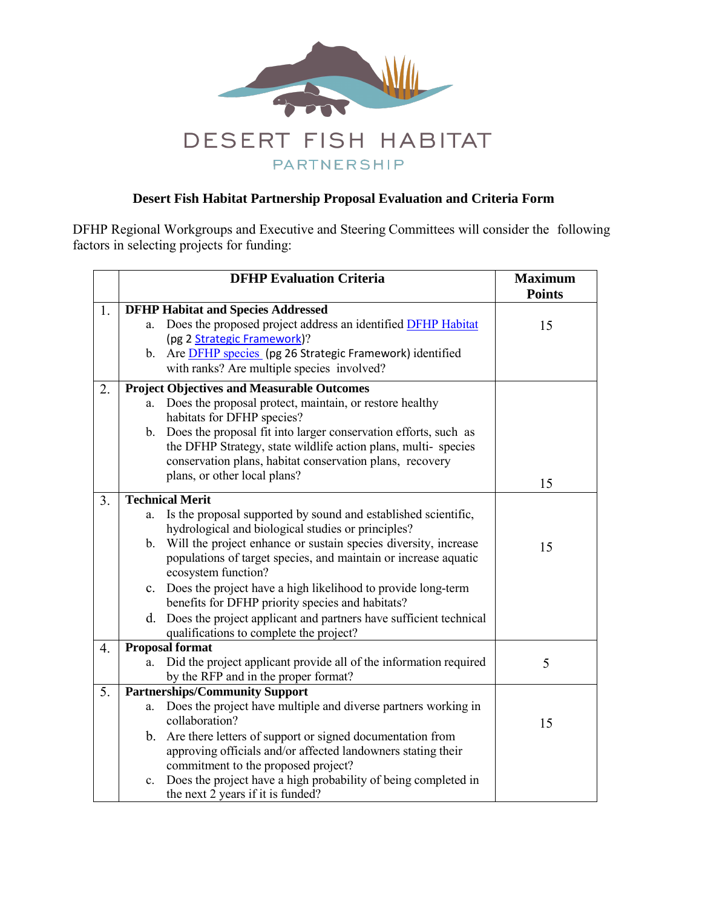

PARTNERSHIP

## **Desert Fish Habitat Partnership Proposal Evaluation and Criteria Form**

DFHP Regional Workgroups and Executive and Steering Committees will consider the following factors in selecting projects for funding:

|                  |                                                   | <b>DFHP Evaluation Criteria</b>                                                                              | <b>Maximum</b><br><b>Points</b> |
|------------------|---------------------------------------------------|--------------------------------------------------------------------------------------------------------------|---------------------------------|
| 1.               |                                                   | <b>DFHP Habitat and Species Addressed</b>                                                                    |                                 |
|                  | a.                                                | Does the proposed project address an identified <b>DFHP</b> Habitat                                          | 15                              |
|                  |                                                   | (pg 2 Strategic Framework)?                                                                                  |                                 |
|                  | $\mathbf{b}$ .                                    | Are <b>DFHP</b> species (pg 26 Strategic Framework) identified<br>with ranks? Are multiple species involved? |                                 |
| 2.               | <b>Project Objectives and Measurable Outcomes</b> |                                                                                                              |                                 |
|                  | a.                                                | Does the proposal protect, maintain, or restore healthy                                                      |                                 |
|                  |                                                   | habitats for DFHP species?                                                                                   |                                 |
|                  | $\mathbf b$ .                                     | Does the proposal fit into larger conservation efforts, such as                                              |                                 |
|                  |                                                   | the DFHP Strategy, state wildlife action plans, multi-species                                                |                                 |
|                  |                                                   | conservation plans, habitat conservation plans, recovery                                                     |                                 |
|                  |                                                   | plans, or other local plans?                                                                                 | 15                              |
| 3.               | <b>Technical Merit</b>                            |                                                                                                              |                                 |
|                  | a.                                                | Is the proposal supported by sound and established scientific,                                               |                                 |
|                  |                                                   | hydrological and biological studies or principles?                                                           |                                 |
|                  |                                                   | b. Will the project enhance or sustain species diversity, increase                                           | 15                              |
|                  |                                                   | populations of target species, and maintain or increase aquatic<br>ecosystem function?                       |                                 |
|                  | $\mathbf{c}$ .                                    | Does the project have a high likelihood to provide long-term                                                 |                                 |
|                  |                                                   | benefits for DFHP priority species and habitats?                                                             |                                 |
|                  | d.                                                | Does the project applicant and partners have sufficient technical                                            |                                 |
|                  |                                                   | qualifications to complete the project?                                                                      |                                 |
| $\overline{4}$ . |                                                   | <b>Proposal format</b>                                                                                       |                                 |
|                  | a.                                                | Did the project applicant provide all of the information required                                            | 5                               |
|                  |                                                   | by the RFP and in the proper format?                                                                         |                                 |
| 5.               |                                                   | <b>Partnerships/Community Support</b>                                                                        |                                 |
|                  | a.                                                | Does the project have multiple and diverse partners working in<br>collaboration?                             | 15                              |
|                  |                                                   | b. Are there letters of support or signed documentation from                                                 |                                 |
|                  |                                                   | approving officials and/or affected landowners stating their                                                 |                                 |
|                  |                                                   | commitment to the proposed project?                                                                          |                                 |
|                  | $c_{\cdot}$                                       | Does the project have a high probability of being completed in                                               |                                 |
|                  |                                                   | the next 2 years if it is funded?                                                                            |                                 |